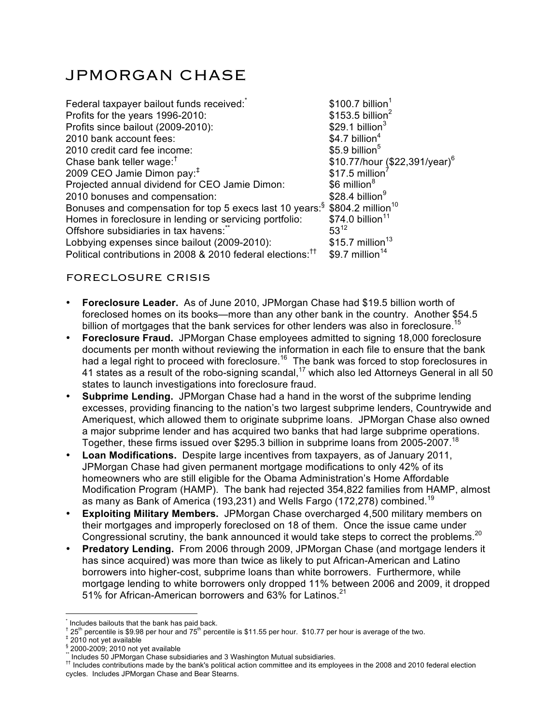# JPMORGAN CHASE

| Federal taxpayer bailout funds received:                                              | $$100.7$ billion <sup>1</sup>   |
|---------------------------------------------------------------------------------------|---------------------------------|
| Profits for the years 1996-2010:                                                      | $$153.5$ billion <sup>2</sup>   |
| Profits since bailout (2009-2010):                                                    | $$29.1$ billion <sup>3</sup>    |
| 2010 bank account fees:                                                               | $$4.7$ billion <sup>4</sup>     |
| 2010 credit card fee income:                                                          | $$5.9$ billion <sup>5</sup>     |
| Chase bank teller wage: $†$                                                           | \$10.77/hour $($22,391/year)^6$ |
| 2009 CEO Jamie Dimon pay: <sup>#</sup>                                                | \$17.5 million                  |
| Projected annual dividend for CEO Jamie Dimon:                                        | \$6 million <sup>8</sup>        |
| 2010 bonuses and compensation:                                                        | $$28.4$ billion <sup>9</sup>    |
| Bonuses and compensation for top 5 execs last 10 years: \$804.2 million <sup>10</sup> |                                 |
| Homes in foreclosure in lending or servicing portfolio:                               | $$74.0$ billion <sup>11</sup>   |
| Offshore subsidiaries in tax havens:                                                  | $53^{12}$                       |
| Lobbying expenses since bailout (2009-2010):                                          | $$15.7$ million <sup>13</sup>   |
| Political contributions in 2008 & 2010 federal elections: <sup>11</sup>               | $$9.7$ million <sup>14</sup>    |

## FORECLOSURE CRISIS

- **Foreclosure Leader.** As of June 2010, JPMorgan Chase had \$19.5 billion worth of foreclosed homes on its books—more than any other bank in the country. Another \$54.5 billion of mortgages that the bank services for other lenders was also in foreclosure.<sup>15</sup>
- **Foreclosure Fraud.** JPMorgan Chase employees admitted to signing 18,000 foreclosure documents per month without reviewing the information in each file to ensure that the bank had a legal right to proceed with foreclosure.<sup>16</sup> The bank was forced to stop foreclosures in 41 states as a result of the robo-signing scandal,<sup>17</sup> which also led Attorneys General in all 50 states to launch investigations into foreclosure fraud.
- **Subprime Lending.** JPMorgan Chase had a hand in the worst of the subprime lending excesses, providing financing to the nation's two largest subprime lenders, Countrywide and Ameriquest, which allowed them to originate subprime loans. JPMorgan Chase also owned a major subprime lender and has acquired two banks that had large subprime operations. Together, these firms issued over \$295.3 billion in subprime loans from 2005-2007.<sup>18</sup>
- **Loan Modifications.** Despite large incentives from taxpayers, as of January 2011, JPMorgan Chase had given permanent mortgage modifications to only 42% of its homeowners who are still eligible for the Obama Administration's Home Affordable Modification Program (HAMP). The bank had rejected 354,822 families from HAMP, almost as many as Bank of America (193,231) and Wells Fargo (172,278) combined.<sup>19</sup>
- **Exploiting Military Members.** JPMorgan Chase overcharged 4,500 military members on their mortgages and improperly foreclosed on 18 of them. Once the issue came under Congressional scrutiny, the bank announced it would take steps to correct the problems.<sup>20</sup>
- **Predatory Lending.** From 2006 through 2009, JPMorgan Chase (and mortgage lenders it has since acquired) was more than twice as likely to put African-American and Latino borrowers into higher-cost, subprime loans than white borrowers. Furthermore, while mortgage lending to white borrowers only dropped 11% between 2006 and 2009, it dropped 51% for African-American borrowers and 63% for Latinos.<sup>21</sup>

 $\overline{a}$ 

<sup>\*</sup> Includes bailouts that the bank has paid back.<br>† 25<sup>th</sup> percentile is \$9.98 per hour and 75<sup>th</sup> percentile is \$11.55 per hour. \$10.77 per hour is average of the two.<br>‡ 2010 not yet available<br><u>\$</u> 2000-2009; 2010 not yet

 $\mathrm{^{7}}$  Includes 50 JPMorgan Chase subsidiaries and 3 Washington Mutual subsidiaries.<br><sup>††</sup> Includes contributions made by the bank's political action committee and its employees in the 2008 and 2010 federal election cycles. Includes JPMorgan Chase and Bear Stearns.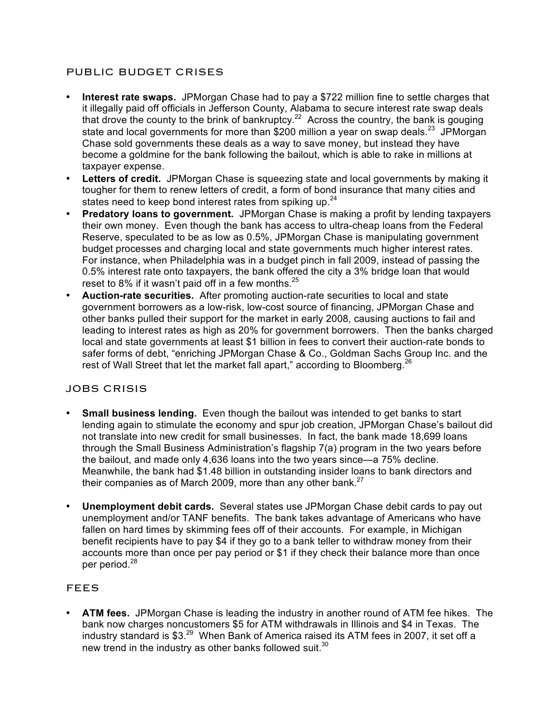## PUBLIC BUDGET CRISES

- **Interest rate swaps.** JPMorgan Chase had to pay a \$722 million fine to settle charges that it illegally paid off officials in Jefferson County, Alabama to secure interest rate swap deals that drove the county to the brink of bankruptcy.<sup>22</sup> Across the country, the bank is gouging state and local governments for more than \$200 million a year on swap deals.<sup>23</sup> JPMorgan Chase sold governments these deals as a way to save money, but instead they have become a goldmine for the bank following the bailout, which is able to rake in millions at taxpayer expense.
- **Letters of credit.** JPMorgan Chase is squeezing state and local governments by making it tougher for them to renew letters of credit, a form of bond insurance that many cities and states need to keep bond interest rates from spiking up.<sup>24</sup>
- **Predatory loans to government.** JPMorgan Chase is making a profit by lending taxpayers their own money. Even though the bank has access to ultra-cheap loans from the Federal Reserve, speculated to be as low as 0.5%, JPMorgan Chase is manipulating government budget processes and charging local and state governments much higher interest rates. For instance, when Philadelphia was in a budget pinch in fall 2009, instead of passing the 0.5% interest rate onto taxpayers, the bank offered the city a 3% bridge loan that would reset to 8% if it wasn't paid off in a few months.  $25$
- **Auction-rate securities.** After promoting auction-rate securities to local and state government borrowers as a low-risk, low-cost source of financing, JPMorgan Chase and other banks pulled their support for the market in early 2008, causing auctions to fail and leading to interest rates as high as 20% for government borrowers. Then the banks charged local and state governments at least \$1 billion in fees to convert their auction-rate bonds to safer forms of debt, "enriching JPMorgan Chase & Co., Goldman Sachs Group Inc. and the rest of Wall Street that let the market fall apart," according to Bloomberg.  $^{26}$

### JOBS CRISIS

- **Small business lending.** Even though the bailout was intended to get banks to start lending again to stimulate the economy and spur job creation, JPMorgan Chase's bailout did not translate into new credit for small businesses. In fact, the bank made 18,699 loans through the Small Business Administration's flagship 7(a) program in the two years before the bailout, and made only 4,636 loans into the two years since—a 75% decline. Meanwhile, the bank had \$1.48 billion in outstanding insider loans to bank directors and their companies as of March 2009, more than any other bank. $^{27}$
- **Unemployment debit cards.** Several states use JPMorgan Chase debit cards to pay out unemployment and/or TANF benefits. The bank takes advantage of Americans who have fallen on hard times by skimming fees off of their accounts. For example, in Michigan benefit recipients have to pay \$4 if they go to a bank teller to withdraw money from their accounts more than once per pay period or \$1 if they check their balance more than once per period.<sup>28</sup>

### FEES

• **ATM fees.** JPMorgan Chase is leading the industry in another round of ATM fee hikes. The bank now charges noncustomers \$5 for ATM withdrawals in Illinois and \$4 in Texas. The industry standard is \$3. $^{29}$  When Bank of America raised its ATM fees in 2007, it set off a new trend in the industry as other banks followed suit.<sup>30</sup>